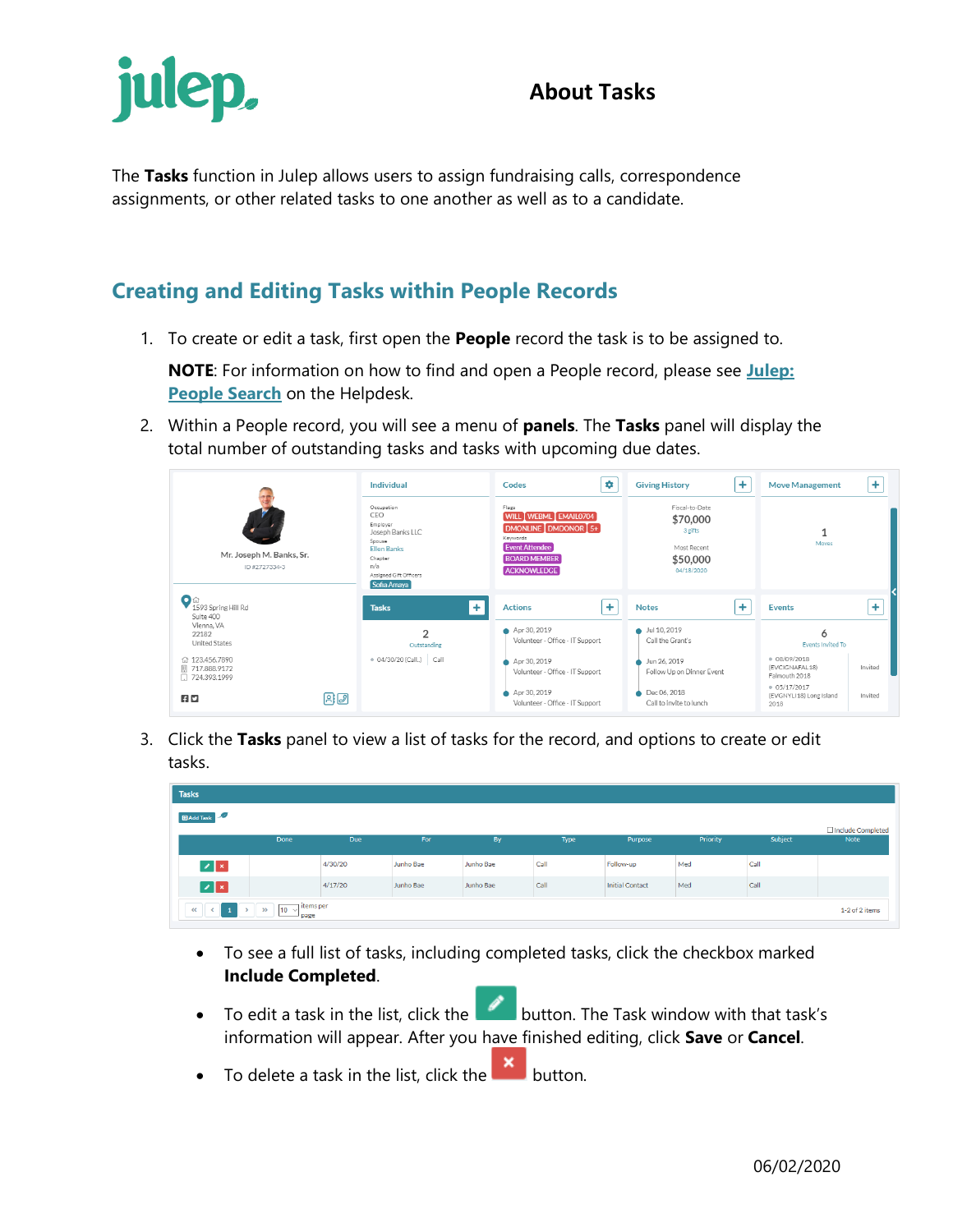## **About Tasks**



The **Tasks** function in Julep allows users to assign fundraising calls, correspondence assignments, or other related tasks to one another as well as to a candidate.

## **Creating and Editing Tasks within People Records**

1. To create or edit a task, first open the **People** record the task is to be assigned to.

**NOTE**: For information on how to find and open a People record, please see **[Julep:](https://support.cmdi.com/hc/en-us/articles/360018143731-Crimson-3-People-Search)  [People Search](https://support.cmdi.com/hc/en-us/articles/360018143731-Crimson-3-People-Search)** on the Helpdesk.

2. Within a People record, you will see a menu of **panels**. The **Tasks** panel will display the total number of outstanding tasks and tasks with upcoming due dates.

|                                                    | Individual                                                                                                                                    | ٠<br>Codes                                                                                                                                      | ÷<br><b>Giving History</b>                                                     | $\ddot{}$<br><b>Move Management</b>                      |
|----------------------------------------------------|-----------------------------------------------------------------------------------------------------------------------------------------------|-------------------------------------------------------------------------------------------------------------------------------------------------|--------------------------------------------------------------------------------|----------------------------------------------------------|
| Mr. Joseph M. Banks, Sr.<br>ID#2727334-3           | Occupation<br>CEO.<br>Employer<br>Joseph Banks LLC<br>Spouse<br><b>Flien Banks</b><br>Chapter<br>n/a<br>Assigned Gift Officers<br>Sofia Amaya | Flags<br>WILL WEBML EMAIL0704<br><b>DMONLINE</b> DMDONOR [5+]<br>Keywords<br><b>Event Attendee</b><br><b>BOARD MEMBER</b><br><b>ACKNOWLEDGE</b> | Fiscal-to-Date<br>\$70,000<br>3 gifts<br>Most Recent<br>\$50,000<br>04/18/2020 | Moves                                                    |
| Oa<br>1593 Spring Hill Rd<br>Suite 400             | ÷<br><b>Tasks</b>                                                                                                                             | ÷<br><b>Actions</b>                                                                                                                             | ÷<br><b>Notes</b>                                                              | ÷<br><b>Events</b>                                       |
| Vienna, VA<br>22182<br><b>United States</b>        | $\overline{2}$<br>Outstanding                                                                                                                 | Apr 30, 2019<br>Volunteer - Office - IT Support                                                                                                 | Jul 10, 2019<br>Call the Grant's                                               | 6<br><b>Events Invited To</b>                            |
| ₼ 123,456,7890<br>  717.888.9172<br>□ 724.393.1999 | . 04/30/20 (Call) Call                                                                                                                        | Apr 30, 2019<br>Volunteer - Office - IT Support                                                                                                 | Jun 26, 2019<br>Follow Up on Dinner Event                                      | 08/09/2018<br>Invited<br>(EVCIGNAFAL18)<br>Falmouth 2018 |
| 日口                                                 | 日日                                                                                                                                            | Apr 30, 2019<br>Volunteer - Office - IT Support                                                                                                 | Dec 06, 2018<br>Call to invite to lunch                                        | 05/17/2017<br>Invited<br>(EVGNYLI18) Long Island<br>2018 |

3. Click the **Tasks** panel to view a list of tasks for the record, and options to create or edit tasks.

| <b>Tasks</b>              |                                            |         |           |           |      |                 |          |         |                           |
|---------------------------|--------------------------------------------|---------|-----------|-----------|------|-----------------|----------|---------|---------------------------|
| <b>Example 2</b>          |                                            |         |           |           |      |                 |          |         |                           |
|                           | Done                                       | Due     | For       | By        | Type | Purpose         | Priority | Subject | Include Completed<br>Note |
| $\mathbb{Z}$ $\mathbb{R}$ |                                            | 4/30/20 | Junho Bae | Junho Bae | Call | Follow-up       | Med      | Call    |                           |
| $ z $ $\times$            |                                            | 4/17/20 | Junho Bae | Junho Bae | Call | Initial Contact | Med      | Call    |                           |
| 1<br><<<br>$\sim$         | litems per<br>$10 \sqrt{ }$<br>> 3<br>page |         |           |           |      |                 |          |         | 1-2 of 2 items            |

- To see a full list of tasks, including completed tasks, click the checkbox marked **Include Completed**.
- To edit a task in the list, click the **button**. The Task window with that task's information will appear. After you have finished editing, click **Save** or **Cancel**.
- To delete a task in the list, click the  $\mathbf{X}$  button.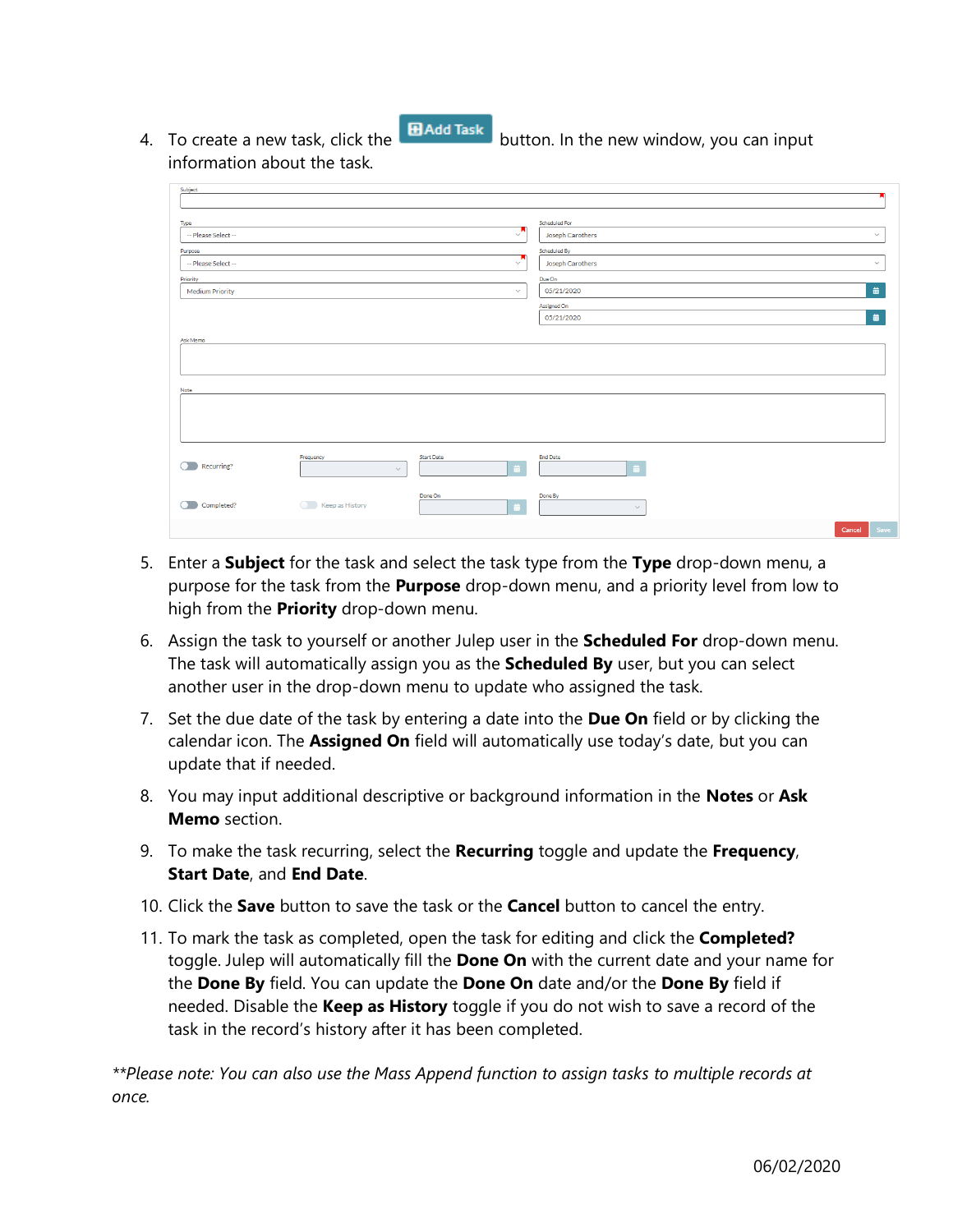4. To create a new task, click the **B H** and Task button. In the new window, you can input

information about the task.

| Subject                     |                 |                   |                                                   |
|-----------------------------|-----------------|-------------------|---------------------------------------------------|
|                             |                 |                   |                                                   |
| Type<br>-- Please Select -- |                 | $\sqrt{ }$        | Scheduled For<br>Joseph Carothers<br>$\checkmark$ |
| Purpose                     |                 |                   | Scheduled By                                      |
| -- Please Select --         |                 | $\checkmark$      | Joseph Carothers<br>$\checkmark$                  |
| Priority                    |                 |                   | Due On                                            |
| <b>Medium Priority</b>      |                 | $\checkmark$      | 苗<br>05/21/2020                                   |
|                             |                 |                   | Assigned On                                       |
|                             |                 |                   | 苗<br>05/21/2020                                   |
| Ask Memo                    |                 |                   |                                                   |
|                             |                 |                   |                                                   |
|                             |                 |                   |                                                   |
| Note                        |                 |                   |                                                   |
|                             |                 |                   |                                                   |
|                             |                 |                   |                                                   |
|                             |                 |                   |                                                   |
|                             |                 |                   |                                                   |
|                             | Frequency       | <b>Start Date</b> | <b>End Date</b>                                   |
| Recurring?<br>∩.            | $\checkmark$    | 苗                 | 盖                                                 |
|                             |                 |                   |                                                   |
| Completed?                  | Keep as History | Done On           | Done By                                           |
|                             |                 |                   | $\checkmark$                                      |
|                             |                 |                   | Save<br>Cancel                                    |

- 5. Enter a **Subject** for the task and select the task type from the **Type** drop-down menu, a purpose for the task from the **Purpose** drop-down menu, and a priority level from low to high from the **Priority** drop-down menu.
- 6. Assign the task to yourself or another Julep user in the **Scheduled For** drop-down menu. The task will automatically assign you as the **Scheduled By** user, but you can select another user in the drop-down menu to update who assigned the task.
- 7. Set the due date of the task by entering a date into the **Due On** field or by clicking the calendar icon. The **Assigned On** field will automatically use today's date, but you can update that if needed.
- 8. You may input additional descriptive or background information in the **Notes** or **Ask Memo** section.
- 9. To make the task recurring, select the **Recurring** toggle and update the **Frequency**, **Start Date**, and **End Date**.
- 10. Click the **Save** button to save the task or the **Cancel** button to cancel the entry.
- 11. To mark the task as completed, open the task for editing and click the **Completed?**  toggle. Julep will automatically fill the **Done On** with the current date and your name for the **Done By** field. You can update the **Done On** date and/or the **Done By** field if needed. Disable the **Keep as History** toggle if you do not wish to save a record of the task in the record's history after it has been completed.

*\*\*Please note: You can also use the Mass Append function to assign tasks to multiple records at once.*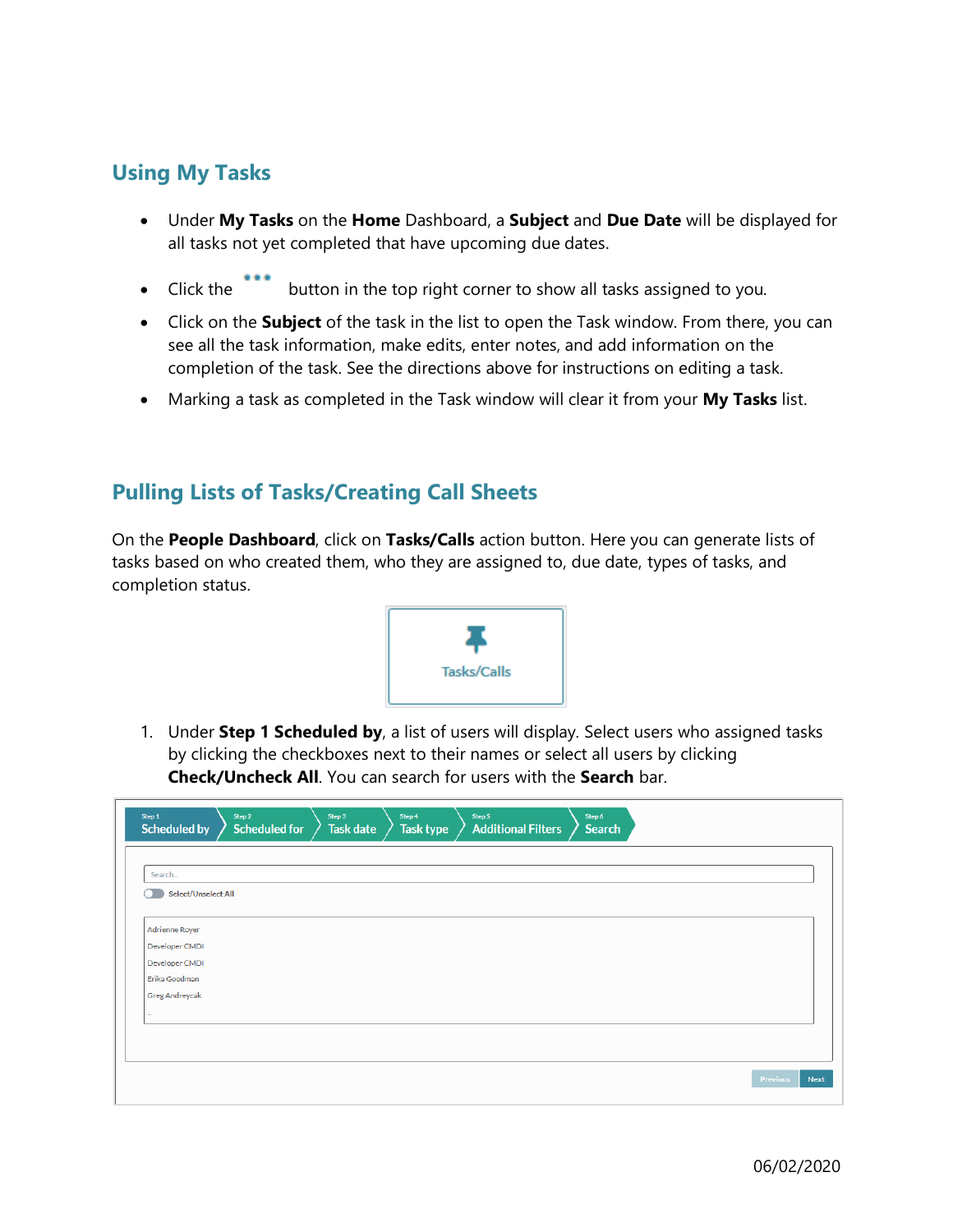## **Using My Tasks**

- Under **My Tasks** on the **Home** Dashboard, a **Subject** and **Due Date** will be displayed for all tasks not yet completed that have upcoming due dates.
- Click the button in the top right corner to show all tasks assigned to you.
- Click on the **Subject** of the task in the list to open the Task window. From there, you can see all the task information, make edits, enter notes, and add information on the completion of the task. See the directions above for instructions on editing a task.
- Marking a task as completed in the Task window will clear it from your **My Tasks** list.

## **Pulling Lists of Tasks/Creating Call Sheets**

On the **People Dashboard**, click on **Tasks/Calls** action button. Here you can generate lists of tasks based on who created them, who they are assigned to, due date, types of tasks, and completion status.



1. Under **Step 1 Scheduled by**, a list of users will display. Select users who assigned tasks by clicking the checkboxes next to their names or select all users by clicking **Check/Uncheck All**. You can search for users with the **Search** bar.

| Select/Unselect All                                       |  |
|-----------------------------------------------------------|--|
| <b>Adrienne Royer</b><br>Developer CMDI<br>Developer CMDI |  |
|                                                           |  |
|                                                           |  |
|                                                           |  |
| Erika Goodman                                             |  |
| Greg Andreycak                                            |  |
| $\cdots$                                                  |  |
|                                                           |  |
|                                                           |  |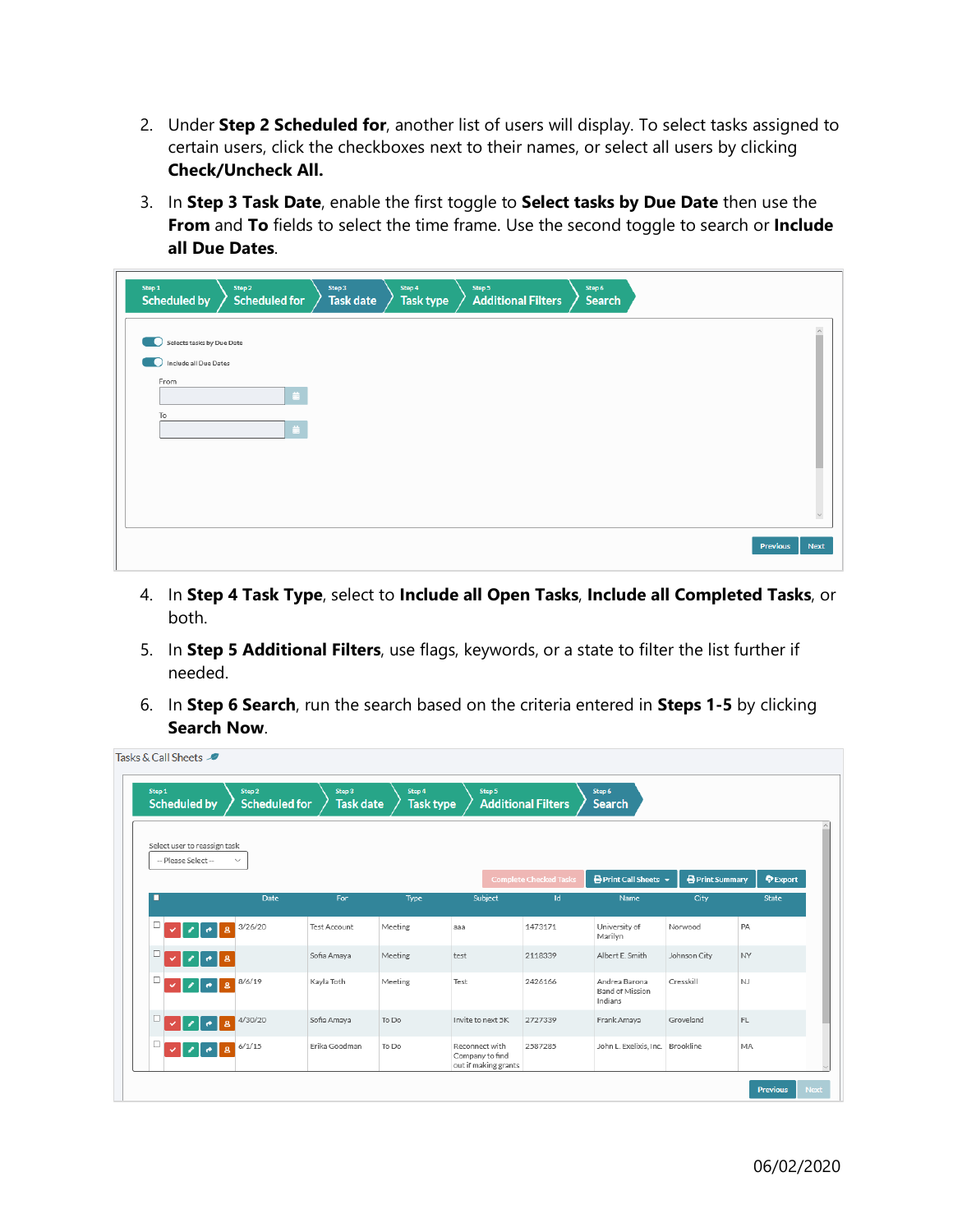- 2. Under **Step 2 Scheduled for**, another list of users will display. To select tasks assigned to certain users, click the checkboxes next to their names, or select all users by clicking **Check/Uncheck All.**
- 3. In **Step 3 Task Date**, enable the first toggle to **Select tasks by Due Date** then use the **From** and **To** fields to select the time frame. Use the second toggle to search or **Include all Due Dates**.

| Step 1<br><b>Scheduled by</b>               | Step 2<br><b>Scheduled for</b> | Step 3<br>Task date | Step 4<br>Step 5<br><b>Task type</b> | <b>Additional Filters</b> | Step 6<br>Search |                                |
|---------------------------------------------|--------------------------------|---------------------|--------------------------------------|---------------------------|------------------|--------------------------------|
| Selects tasks by Due Date<br>$\blacksquare$ |                                |                     |                                      |                           |                  |                                |
| Include all Due Dates<br>From               |                                |                     |                                      |                           |                  |                                |
| To                                          | 苗                              |                     |                                      |                           |                  |                                |
|                                             | 苗                              |                     |                                      |                           |                  |                                |
|                                             |                                |                     |                                      |                           |                  |                                |
|                                             |                                |                     |                                      |                           |                  |                                |
|                                             |                                |                     |                                      |                           |                  | <b>Previous</b><br><b>Next</b> |

- 4. In **Step 4 Task Type**, select to **Include all Open Tasks**, **Include all Completed Tasks**, or both.
- 5. In **Step 5 Additional Filters**, use flags, keywords, or a state to filter the list further if needed.
- 6. In **Step 6 Search**, run the search based on the criteria entered in **Steps 1-5** by clicking **Search Now**.

 $\overline{a}$  .  $\overline{a}$  and

| Step 1 | <b>Scheduled by</b>           | Step 2<br><b>Scheduled for</b> | Step 3<br><b>Task date</b> | Step 4<br><b>Task type</b> | Step 5                                                    | <b>Additional Filters</b>     | Step 6<br><b>Search</b>                     |                        |               |
|--------|-------------------------------|--------------------------------|----------------------------|----------------------------|-----------------------------------------------------------|-------------------------------|---------------------------------------------|------------------------|---------------|
|        | Select user to reassign task  |                                |                            |                            |                                                           |                               |                                             |                        |               |
|        | -- Please Select --           | $\checkmark$                   |                            |                            |                                                           | <b>Complete Checked Tasks</b> | $\bigoplus$ Print Call Sheets $\smile$      | <b>P</b> Print Summary | <b>Export</b> |
| г      |                               | <b>Date</b>                    | For                        | Type                       | Subject                                                   | Id                            | Name                                        | City                   | State         |
| □      | $\bullet$<br>$\mathbf{a}$     | 3/26/20                        | <b>Test Account</b>        | Meeting                    | ааа                                                       | 1473171                       | University of<br>Marilyn                    | Norwood                | PA            |
| □      | $\mathbf{a}$<br>$\bullet$     |                                | Sofia Amaya                | Meeting                    | test                                                      | 2118339                       | Albert E. Smith                             | Johnson City           | <b>NY</b>     |
| □      | $\mathbf{a}$<br>$\rightarrow$ | 8/6/19                         | Kayla Toth                 | Meeting                    | Test                                                      | 2426166                       | Andrea Barona<br>Band of Mission<br>Indians | Cresskill              | <b>NJ</b>     |
| □      | $\mathbf{a}$<br>$\bullet$     | 4/30/20                        | Sofia Amaya                | To Do                      | Invite to next 5K                                         | 2727339                       | Frank Amaya                                 | Groveland              | FL            |
| □      | $\mathbf{a}$<br>$\bullet$     | 6/1/15                         | Erika Goodman              | To Do                      | Reconnect with<br>Company to find<br>out if making grants | 2587285                       | John L. Exelixis, Inc. Brookline            |                        | MA.           |